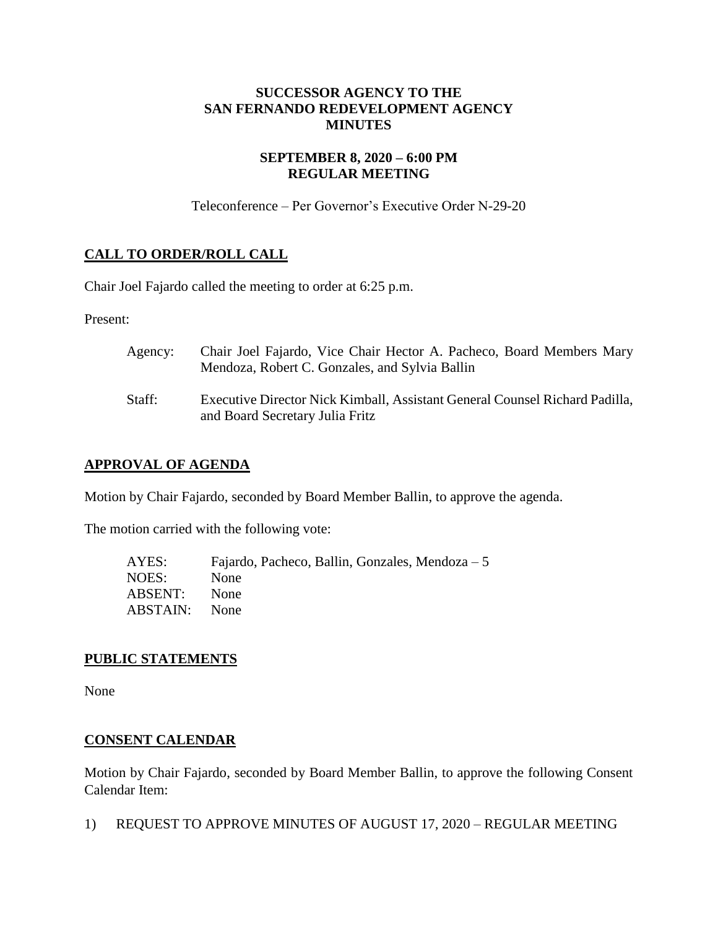### **SUCCESSOR AGENCY TO THE SAN FERNANDO REDEVELOPMENT AGENCY MINUTES**

### **SEPTEMBER 8, 2020 – 6:00 PM REGULAR MEETING**

Teleconference – Per Governor's Executive Order N-29-20

# **CALL TO ORDER/ROLL CALL**

Chair Joel Fajardo called the meeting to order at 6:25 p.m.

Present:

| Agency: | Chair Joel Fajardo, Vice Chair Hector A. Pacheco, Board Members Mary<br>Mendoza, Robert C. Gonzales, and Sylvia Ballin |
|---------|------------------------------------------------------------------------------------------------------------------------|
| Staff:  | Executive Director Nick Kimball, Assistant General Counsel Richard Padilla,<br>and Board Secretary Julia Fritz         |

## **APPROVAL OF AGENDA**

Motion by Chair Fajardo, seconded by Board Member Ballin, to approve the agenda.

The motion carried with the following vote:

| AYES:    | Fajardo, Pacheco, Ballin, Gonzales, Mendoza $-5$ |
|----------|--------------------------------------------------|
| NOES:    | None                                             |
| ABSENT:  | None                                             |
| ABSTAIN: | <b>None</b>                                      |

## **PUBLIC STATEMENTS**

None

#### **CONSENT CALENDAR**

Motion by Chair Fajardo, seconded by Board Member Ballin, to approve the following Consent Calendar Item:

1) REQUEST TO APPROVE MINUTES OF AUGUST 17, 2020 – REGULAR MEETING